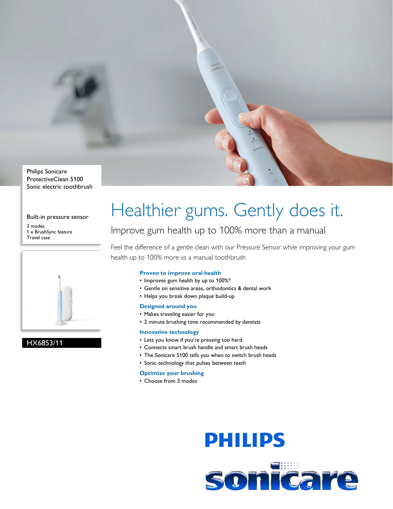

Sonic electric toothbrush

Built-in pressure sensor

3 modes 1 x BrushSync feature Travel case



### HX6853/11

# Healthier gums. Gently does it.

### Improve gum health up to 100% more than a manual

Feel the difference of a gentle clean with our Pressure Sensor while improving your gum health up to 100% more vs a manual toothbrush

#### **Proven to improve oral health**

- Improves gum health by up to 100%\*
- Gentle on sensitive areas, orthodontics & dental work
- Helps you break down plaque build-up

#### **Designed around you**

- Makes traveling easier for you
- 2 minute brushing time recommended by dentists

#### **Innovative technology**

- Lets you know if you're pressing too hard
- Connects smart brush handle and smart brush heads
- The Sonicare 5100 tells you when to switch brush heads
- Sonic technology that pulses between teeth

#### **Optimize your brushing**

• Choose from 3 modes

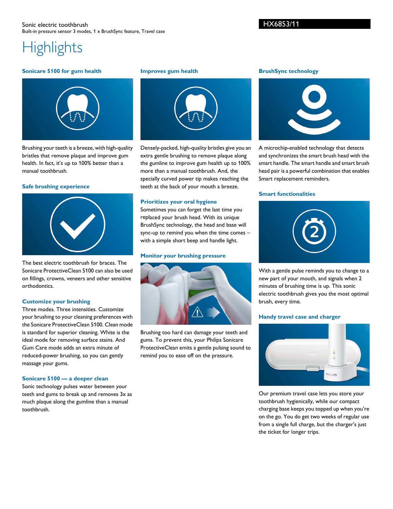## **Highlights**

#### **Sonicare 5100 for gum health**



Brushing your teeth is a breeze, with high-quality bristles that remove plaque and improve gum health. In fact, it's up to 100% better than a manual toothbrush.

#### **Safe brushing experience**



The best electric toothbrush for braces. The Sonicare ProtectiveClean 5100 can also be used on fillings, crowns, veneers and other sensitive orthodontics.

#### **Customize your brushing**

Three modes. Three intensities. Customize your brushing to your cleaning preferences with the Sonicare ProtectiveClean 5100. Clean mode is standard for superior cleaning. White is the ideal mode for removing surface stains. And Gum Care mode adds an extra minute of reduced-power brushing, so you can gently massage your gums.

#### **Sonicare 5100 — a deeper clean**

Sonic technology pulses water between your teeth and gums to break up and removes 3x as much plaque along the gumline than a manual toothbrush.

#### **Improves gum health**



Densely-packed, high-quality bristles give you an extra gentle brushing to remove plaque along the gumline to improve gum health up to 100% more than a manual toothbrush. And, the specially curved power tip makes reaching the teeth at the back of your mouth a breeze.

#### **Prioritizes your oral hygiene**

Sometimes you can forget the last time you replaced your brush head. With its unique BrushSync technology, the head and base will sync-up to remind you when the time comes – with a simple short beep and handle light.

#### **Monitor your brushing pressure**



Brushing too hard can damage your teeth and gums. To prevent this, your Philips Sonicare ProtectiveClean emits a gentle pulsing sound to remind you to ease off on the pressure.

#### **BrushSync technology**



A microchip-enabled technology that detects and synchronizes the smart brush head with the smart handle. The smart handle and smart brush head pair is a powerful combination that enables Smart replacement reminders.

#### **Smart functionalities**



With a gentle pulse reminds you to change to a new part of your mouth, and signals when 2 minutes of brushing time is up. This sonic electric toothbrush gives you the most optimal brush, every time.

#### **Handy travel case and charger**



Our premium travel case lets you store your toothbrush hygienically, while our compact charging base keeps you topped up when you're on the go. You do get two weeks of regular use from a single full charge, but the charger's just the ticket for longer trips.